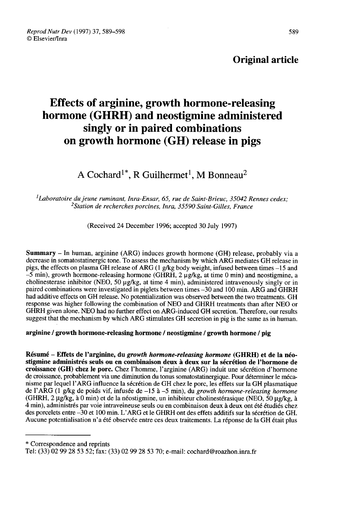Reprod Nutr Dev (1997) 37, 589-598 © Elsevier/Inra

### Original article

# Effects of arginine, growth hormone-releasing hormone (GHRH) and neostigmine administered singly or in paired combinations on growth hormone (GH) release in pigs Example 18 and the unit of the singly or in paired combinations<br>growth hormone (GH) release in p<br>A Cochard<sup>1\*</sup>, R Guilhermet<sup>1</sup>, M Bonneau<sup>2</sup>

'Laboratoire du jeune ruminant, Inra-Ensar, 65, rue de Saint-Brieuc, 35042 Rennes cedex; du jeune ruminant, Inra-Ensar, 65, rue de Saint-Brieuc, 35042 R<br><sup>2</sup>Station de recherches porcines, Inra, 35590 Saint-Gilles, France

(Received 24 December 1996; accepted 30 July 1997)

Summary - In human, arginine (ARG) induces growth hormone (GH) release, probably via a decrease in somatostatinergic tone. To assess the mechanism by which ARG mediates GH release in pigs, the effects on plasma GH release of ARG ( 1 g/kg body weight, infused between times -15 and  $-5$  min), growth hormone-releasing hormone (GHRH, 2  $\mu$ g/kg, at time 0 min) and neostigmine, a cholinesterase inhibitor (NEO,  $50 \mu g/kg$ , at time 4 min), administered intravenously singly or in paired combinations were investigated in piglets between times -30 and 100 min. ARG and GHRH had additive effects on GH release. No potentialization was observed between the two treatments. GH response was higher following the combination of NEO and GHRH treatments than after NEO or GHRH given alone. NEO had no further effect on ARG-induced GH secretion. Therefore, our results suggest that the mechanism by which ARG stimulates GH secretion in pig is the same as in human.

arginine / growth hormone-releasing hormone / neostigmine / growth hormone / pig

Résumé - Effets de l'arginine, du growth hormone-releasing hormone (GHRH) et de la néostigmine administrés seuls ou en combinaison deux à deux sur la sécrétion de l'hormone de croissance (GH) chez le porc. Chez l'homme, l'arginine (ARG) induit une sécrétion d'hormone de croissance, probablement via une diminution du tonus somatostatinergique. Pour déterminer le mécanisme par lequel l'ARG influence la sécrétion de GH chez le porc, les effets sur la GH plasmatique de l'ARG (1 g/kg de poids vif, infusée de  $-15$  à  $-5$  min), du *growth hormone-releasing hormone* (GHRH,  $2 \mu g/kg$ , à 0 min) et de la néostigmine, un inhibiteur cholinestérasique (NEO, 50  $\mu g/kg$ , à 4 min), administrés par voie intraveineuse seuls ou en combinaison deux à deux ont été étudiés chez des porcelets entre -30 et 100 min. L'ARG et le GHRH ont des effets additifs sur la sécrétion de GH. Aucune potentialisation n'a été observée entre ces deux traitements. La réponse de la GH était plus

\* Correspondence and reprints

Tel: (33) 02 99 28 53 52; fax: (33) 02 99 28 53 70; e-mail: cochard@roazhon.inra.fr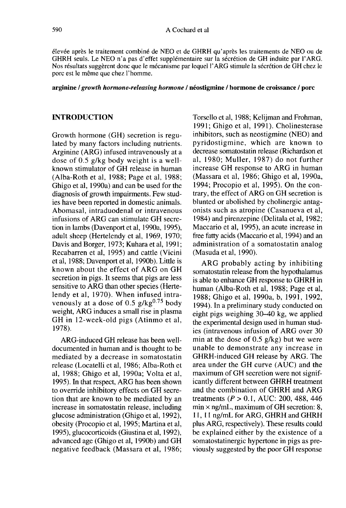élevée après le traitement combiné de NEO et de GHRH qu'après les traitements de NEO ou de GHRH seuls. Le NEO n'a pas d'effet supplémentaire sur la sécrétion de GH induite par l'ARG. Nos résultats suggèrent donc que le mécanisme par lequel l'ARG stimule la sécrétion de GH chez le porc est le même que chez l'homme.

#### arginine / growth hormone-releasing hormone / néostigmine / hormone de croissance / porc

#### INTRODUCTION

Growth hormone (GH) secretion is regulated by many factors including nutrients. Arginine (ARG) infused intravenously at a dose of 0.5 g/kg body weight is a wellknown stimulator of GH release in human (Alba-Roth et al, 1988; Page et al, 1988; Ghigo et al, 1990a) and can be used for the diagnosis of growth impairments. Few studies have been reported in domestic animals. Abomasal, intraduodenal or intravenous infusions of ARG can stimulate GH secretion in lambs (Davenport et al, 1990a, 1995), adult sheep (Hertelendy et al, 1969, 1970; Davis and Borger, 1973; Kuhara et al, 1991; Recabarren et al, 1995) and cattle (Vicini et al, 1988; Davenport et al, 1990b). Little is known about the effect of ARG on GH secretion in pigs. It seems that pigs are less sensitive to ARG than other species (Hertelendy et al, 1970). When infused intrasecretion in pigs. It seems that pigs are less<br>sensitive to ARG than other species (Herte-<br>lendy et al, 1970). When infused intra-<br>venously at a dose of 0.5  $g/kg^{0.75}$  body<br>weight, ARG induces a small rise in plasma weight, ARG induces a small rise in plasma GH in 12-week-old pigs (Atinmo et al, 1978).

ARG-induced GH release has been welldocumented in human and is thought to be mediated by a decrease in somatostatin release (Locatelli et al, 1986; Alba-Roth et al, 1988; Ghigo et al, 1990a; Volta et al, 1995). In that respect, ARG has been shown to override inhibitory effects on GH secretion that are known to be mediated by an increase in somatostatin release, including glucose administration (Ghigo et al, 1992), obesity (Procopio et al, 1995; Martina et al, 1995), glucocorticoids (Giustina et al, 1992), advanced age (Ghigo et al, 1990b) and GH negative feedback (Massara et al, 1986;

Torsello et al, 1988; Kelijman and Frohman, 1991; Ghigo et al, 1991). Cholinesterase inhibitors, such as neostigmine (NEO) and pyridostigmine, which are known to decrease somatostatin release (Richardson et al, 1980; Muller, 1987) do not further increase GH response to ARG in human (Massara et al, 1986; Ghigo et al, 1990a, 1994; Procopio et al, 1995). On the contrary, the effect of ARG on GH secretion is blunted or abolished by cholinergic antagonists such as atropine (Casanueva et al, 1984) and pirenzepine (Delitala et al, 1982; Maccario et al, 1995), an acute increase in free fatty acids (Maccario et al, 1994) and an administration of a somatostatin analog (Masuda et al, 1990).

ARG probably acting by inhibiting somatostatin release from the hypothalamus is able to enhance GH response to GHRH in human (Alba-Roth et al, 1988; Page et al, 1988; Ghigo et al, 1990a, b, 1991, 1992, 1994). In a preliminary study conducted on eight pigs weighing 30-40 kg, we applied the experimental design used in human studies (intravenous infusion of ARG over 30 min at the dose of 0.5 g/kg) but we were unable to demonstrate any increase in GHRH-induced GH release by ARG. The area under the GH curve (AUC) and the maximum of GH secretion were not significantly different between GHRH treatment and the combination of GHRH and ARG treatments ( $P > 0.1$ , AUC: 200, 488, 446 min  $\times$  ng/mL, maximum of GH secretion: 8, 11, 11 ng/mL for ARG, GHRH and GHRH plus ARG, respectively). These results could be explained either by the existence of a somatostatinergic hypertone in pigs as previously suggested by the poor GH response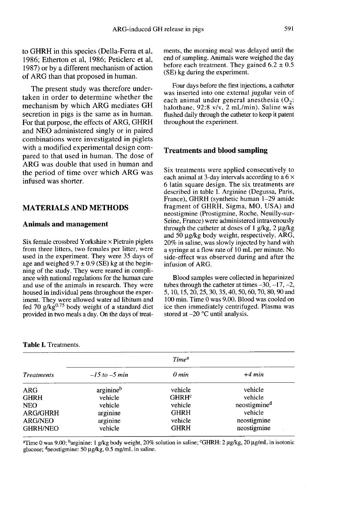to GHRH in this species (Della-Ferra et al, 1986; Etherton et al, 1986; Peticlerc et al, 1987) or by a different mechanism of action of ARG than that proposed in human.

The present study was therefore undertaken in order to determine whether the mechanism by which ARG mediates GH secretion in pigs is the same as in human. For that purpose, the effects of ARG, GHRH and NEO administered singly or in paired combinations were investigated in piglets with a modified experimental design compared to that used in human. The dose of ARG was double that used in human and the period of time over which ARG was infused was shorter.

#### MATERIALS AND METHODS

#### Animals and management

Six female crossbred Yorkshire  $\times$  Pietrain piglets from three litters, two females per litter, were used in the experiment. They were 35 days of age and weighed  $9.7 \pm 0.9$  (SE) kg at the begin-<br>ning of the study. They were reared in compliance with national regulations for the human care and use of the animals in research. They were housed in individual pens throughout the experiment. They were allowed water ad libitum and fed 70 g/kg $^{0.75}$  body weight of a standard diet provided in two meals a day. On the days of treatments, the morning meal was delayed until the end of sampling. Animals were weighed the day before each treatment. They gained  $6.2 \pm 0.5$ (SE) kg during the experiment.

Four days before the first injections, a catheter was inserted into one external jugular vein of each animal under general anesthesia  $(O_2)$ : halothane, 92:8 v/v, 2 mL/min). Saline was flushed daily through the catheter to keep it patent throughout the experiment.

#### Treatments and blood sampling

Six treatments were applied consecutively to each animal at 3-day intervals according to a  $6 \times$ 6 latin square design. The six treatments are described in table I. Arginine (Degussa, Paris, France), GHRH (synthetic human 1-29 amide fragment of GHRH, Sigma, MO, USA) and neostigmine (Prostigmine, Roche, Neuilly-sur-Seine, France) were administered intravenously through the catheter at doses of 1 g/kg,  $2 \mu g/kg$ and 50  $\mu$ g/kg body weight, respectively. ARG, 20% in saline, was slowly injected by hand with a syringe at a flow rate of 10 mL per minute. No side-effect was observed during and after the infusion of ARG.

Blood samples were collected in heparinized tubes through the catheter at times  $-30$ ,  $-17$ ,  $-2$ , 5, 10, 15, 20, 25, 30, 35, 40, 50, 60, 70, 80, 90 and 100 min. Time 0 was 9.00. Blood was cooled on ice then immediately centrifuged. Plasma was stored at  $-20$  °C until analysis.

| <b>Treatments</b> | Time <sup>a</sup> |                   |                          |
|-------------------|-------------------|-------------------|--------------------------|
|                   | $-15$ to $-5$ min | $0$ min           | $+4$ min                 |
| ARG               | arginineb         | vehicle           | vehicle                  |
| GHRH              | vehicle           | GHRH <sup>c</sup> | vehicle                  |
| NEO               | vehicle           | vehicle           | neostigmine <sup>d</sup> |
| ARG/GHRH          | arginine          | <b>GHRH</b>       | vehicle                  |
| <b>ARG/NEO</b>    | arginine          | vehicle           | neostigmine              |
| GHRH/NEO          | vehicle           | <b>GHRH</b>       | neostigmine              |
|                   |                   |                   |                          |

Table I. Treatments.

<sup>a</sup>Time 0 was 9.00; <sup>b</sup>arginine: 1 g/kg body weight, 20% solution in saline; "GHRH: 2 µg/kg, 20 µg/mL in isotonic glucose; dneostigmine: 50 μg/kg, 0.5 mg/mL in saline.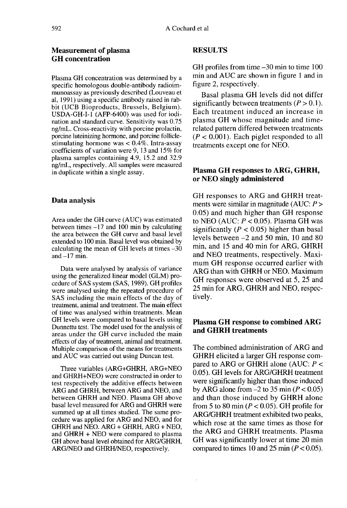#### Measurement of plasma GH concentration

Plasma GH concentration was determined by a specific homologous double-antibody radioimmunoassay as previously described (Louveau et al, 1991) using a specific antibody raised in rabbit (UCB Bioproducts, Brussels, Belgium). USDA-GH-I-1 (AFP-6400) was used for iodination and standard curve. Sensitivity was 0.75 ng/mL. Cross-reactivity with porcine prolactin, porcine luteinizing hormone, and porcine folliclestimulating hormone was  $< 0.4\%$ . Intra-assay coefficients of variation were 9, 13 and 15% for plasma samples containing 4.9, 15.2 and 32.9 ng/mL, respectively. All samples were measured in duplicate within a single assay.

#### Data analysis

Area under the GH curve (AUC) was estimated between times -17 and 100 min by calculating the area between the GH curve and basal level extended to 100 min. Basal level was obtained by calculating the mean of GH levels at times  $-30$ and  $-17$  min.

Data were analysed by analysis of variance using the generalized linear model (GLM) procedure of SAS system (SAS, 1989). GH profiles were analysed using the repeated procedure of SAS including the main effects of the day of treatment, animal and treatment. The main effect of time was analysed within treatments. Mean GH levels were compared to basal levels using Dunnettu test. The model used for the analysis of areas under the GH curve included the main effects of day of treatment, animal and treatment. Multiple comparison of the means for treatments and AUC was carried out using Duncan test.

Three variables (ARG+GHRH, ARG+NEO and GHRH+NEO) were constructed in order to test respectively the additive effects between ARG and GHRH, between ARG and NEO, and between GHRH and NEO. Plasma GH above basal level measured for ARG and GHRH were summed up at all times studied. The same procedure was applied for ARG and NEO, and for GHRH and NEO. ARG + GHRH, ARG + NEO, and GHRH + NEO were compared to plasma GH above basal level obtained for ARG/GHRH, ARG/NEO and GHRH/NEO, respectively.

#### RESULTS

GH profiles from time -30 min to time 100 min and AUC are shown in figure 1 and in figure 2, respectively.

Basal plasma GH levels did not differ significantly between treatments  $(P > 0.1)$ . Each treatment induced an increase in plasma GH whose magnitude and timerelated pattern differed between treatments  $(P < 0.001)$ . Each piglet responded to all treatments except one for NEO.

## Plasma GH responses to ARG, GHRH, or NEO singly administered

GH responses to ARG and GHRH treatments were similar in magnitude (AUC:  $P >$ 0.05) and much higher than GH response to NEO (AUC:  $P < 0.05$ ). Plasma GH was significantly ( $P < 0.05$ ) higher than basal levels between -2 and 50 min, 10 and 80 min, and 15 and 40 min for ARG, GHRH and NEO treatments, respectively. Maximum GH response occurred earlier with ARG than with GHRH or NEO. Maximum GH responses were observed at 5, 25 and 25 min for ARG, GHRH and NEO, respectively.

#### Plasma GH response to combined ARG and GHRH treatments

The combined administration of ARG and GHRH elicited a larger GH response compared to ARG or GHRH alone (AUC:  $P \leq$ 0.05). GH levels for ARG/GHRH treatment were significantly higher than those induced by ARG alone from  $-2$  to 35 min ( $P < 0.05$ ) and than those induced by GHRH alone from 5 to 80 min ( $P < 0.05$ ). GH profile for ARG/GHRH treatment exhibited two peaks, which rose at the same times as those for the ARG and GHRH treatments. Plasma GH was significantly lower at time 20 min compared to times 10 and 25 min ( $P < 0.05$ ).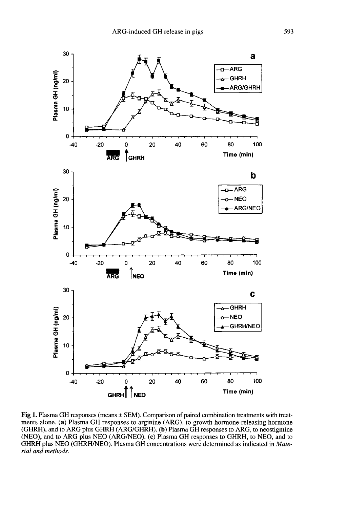

Fig 1. Plasma GH responses (means  $\pm$  SEM). Comparison of paired combination treatments with treatments alone. (a) Plasma GH responses to arginine (ARG), to growth hormone-releasing hormone (GHRH), and to ARG plus GHRH (ARG/GHRH). (b) Plasma GH responses to ARG, to neostigmine (NEO), and to ARG plus NEO (ARG/NEO). (c) Plasma GH responses to GHRH, to NEO, and to GHRH plus NEO (GHRH/NEO). Plasma GH concentrations were determined as indicated in Material and methods.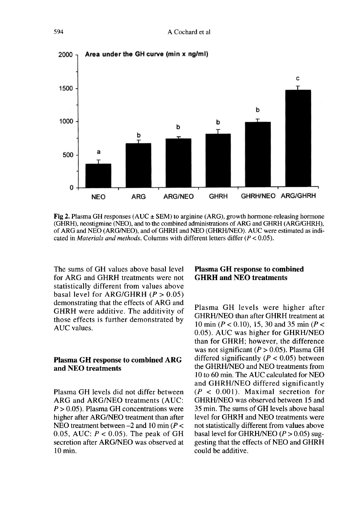

**Fig 2.** Plasma GH responses (AUC  $\pm$  SEM) to arginine (ARG), growth hormone-releasing hormone (GHRH), neostigmine (NEO), and to the combined administrations of ARG and GHRH (ARG/GHRH), of ARG and NEO (ARG/NEO), and of GHRH and NEO (GHRH/NEO). AUC were estimated as indicated in *Materials and methods*. Columns with different letters differ  $(P < 0.05)$ .

The sums of GH values above basal level for ARG and GHRH treatments were not statistically different from values above basal level for ARG/GHRH  $(P > 0.05)$ demonstrating that the effects of ARG and GHRH were additive. The additivity of those effects is further demonstrated by AUC values.

#### Plasma GH response to combined ARG and NEO treatments

Plasma GH levels did not differ between ARG and ARG/NEO treatments (AUC:  $P > 0.05$ ). Plasma GH concentrations were higher after ARG/NEO treatment than after NEO treatment between  $-2$  and 10 min ( $P <$ 0.05, AUC:  $P < 0.05$ ). The peak of GH secretion after ARG/NEO was observed at 10 min.

#### Plasma GH response to combined GHRH and NEO treatments

Plasma GH levels were higher after GHRH/NEO than after GHRH treatment at 10 min ( $P < 0.10$ ), 15, 30 and 35 min ( $P <$ 0.05). AUC was higher for GHRH/NEO than for GHRH; however, the difference was not significant ( $P > 0.05$ ). Plasma GH differed significantly  $(P < 0.05)$  between the GHRH/NEO and NEO treatments from 10 to 60 min. The AUC calculated for NEO and GHRH/NEO differed significantly  $(P < 0.001)$ . Maximal secretion for GHRH/NEO was observed between 15 and 35 min. The sums of GH levels above basal level for GHRH and NEO treatments were not statistically different from values above basal level for GHRH/NEO  $(P > 0.05)$  suggesting that the effects of NEO and GHRH could be additive.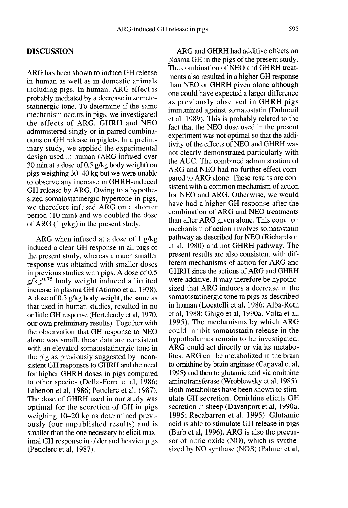#### **DISCUSSION**

ARG has been shown to induce GH release in human as well as in domestic animals including pigs. In human, ARG effect is probably mediated by a decrease in somatostatinergic tone. To determine if the same mechanism occurs in pigs, we investigated the effects of ARG, GHRH and NEO administered singly or in paired combinations on GH release in piglets. In a preliminary study, we applied the experimental design used in human (ARG infused over 30 min at a dose of 0.5 g/kg body weight) on pigs weighing 30-40 kg but we were unable to observe any increase in GHRH-induced GH release by ARG. Owing to a hypothe-<br>sized somatostatinergic hypertone in pigs, we therefore infused ARG on a shorter period (10 min) and we doubled the dose of ARG  $(1 \text{ g/kg})$  in the present study.

ARG when infused at a dose of 1 g/kg induced a clear GH response in all pigs of the present study, whereas a much smaller response was obtained with smaller doses in previous studies with pigs. A dose of 0.5  $g/kg<sup>0.75</sup>$  body weight induced a limited increase in plasma GH (Atinmo et al, 1978). A dose of 0.5 g/kg body weight, the same as that used in human studies, resulted in no or little GH response (Hertelendy et al, 1970; our own preliminary results). Together with the observation that GH response to NEO alone was small, these data are consistent with an elevated somatostatinergic tone in the pig as previously suggested by inconsistent GH responses to GHRH and the need for higher GHRH doses in pigs compared to other species (Della-Ferra et al, 1986; Etherton et al, 1986; Peticlerc et al, 1987). The dose of GHRH used in our study was optimal for the secretion of GH in pigs weighing 10-20 kg as determined previously (our unpublished results) and is smaller than the one necessary to elicit maximal GH response in older and heavier pigs (Peticlerc et al, 1987).

ARG and GHRH had additive effects on plasma GH in the pigs of the present study. The combination of NEO and GHRH treatments also resulted in a higher GH response than NEO or GHRH given alone although one could have expected a larger difference as previously observed in GHRH pigs immunized against somatostatin (Dubreuil et at, 1989). This is probably related to the fact that the NEO dose used in the present experiment was not optimal so that the additivity of the effects of NEO and GHRH was not clearly demonstrated particularly with the AUC. The combined administration of ARG and NEO had no further effect compared to ARG alone. These results are consistent with a common mechanism of action for NEO and ARG. Otherwise, we would have had a higher GH response after the combination of ARG and NEO treatments than after ARG given alone. This common mechanism of action involves somatostatin<br>nathway as described for NEO (Richardson et al, 1980) and not GHRH pathway. The present results are also consistent with different mechanisms of action for ARG and GHRH since the actions of ARG and GHRH were additive. It may therefore be hypothesized that ARG induces a decrease in the somatostatinergic tone in pigs as described in human (Locatelli et al, 1986; Alba-Roth et al, 1988; Ghigo et al, 1990a, Volta et al, 1995). The mechanisms by which ARG could inhibit somatostatin release in the hypothalamus remain to be investigated. ARG could act directly or via its metabolites. ARG can be metabolized in the brain to ornithine by brain arginase (Carjaval et al, 1995) and then to glutamic acid via ornithine aminotransferase (Wroblewsky et al, 1985). Both metabolites have been shown to stimulate GH secretion. Ornithine elicits GH secretion in sheep (Davenport et al, 1990a, 1995; Recabarren et al, 1995). Glutamic acid is able to stimulate GH release in pigs (Barb et al, 1996). ARG is also the precursor of nitric oxide (NO), which is synthesized by NO synthase (NOS) (Palmer et al,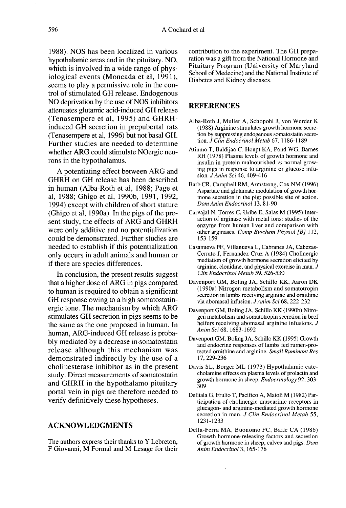1988). NOS has been localized in various hypothalamic areas and in the pituitary. NO, which is involved in a wide range of physiological events (Moncada et al, 1991), seems to play a permissive role in the control of stimulated GH release. Endogenous NO deprivation by the use of NOS inhibitors attenuates glutamic acid-induced GH release (Tenasempere et al, 1995) and GHRHinduced GH secretion in prepubertal rats (Tenasempere et al, 1996) but not basal GH. Further studies are needed to determine whether ARG could stimulate NOergic neurons in the hypothalamus.

A potentiating effect between ARG and GHRH on GH release has been described in human (Alba-Roth et al, 1988; Page et al, 1988; Ghigo et al, 1990b, 1991, 1992, 1994) except with children of short stature (Ghigo et al, 1990a). In the pigs of the present study, the effects of ARG and GHRH were only additive and no potentialization could be demonstrated. Further studies are needed to establish if this potentialization only occurs in adult animals and human or if there are species differences.

In conclusion, the present results suggest that a higher dose of ARG in pigs compared to human is required to obtain a significant GH response owing to a high somatostatinergic tone. The mechanism by which ARG stimulates GH secretion in pigs seems to be the same as the one proposed in human. In human, ARG-induced GH release is probably mediated by a decrease in.somatostatin release although this mechanism was demonstrated indirectly by the use of a cholinesterase inhibitor as in the present study. Direct measurements of somatostatin and GHRH in the hypothalamo pituitary portal vein in pigs are therefore needed to verify definitively these hypotheses.

#### ACKNOWLEDGMENTS

The authors express their thanks to Y Lebreton, F Giovanni, M Formal and M Lesage for their

contribution to the experiment. The GH preparation was a gift from the National Hormone and Pituitary Program (University of Maryland School of Medecine) and the National Institute of Diabetes and Kidney diseases.

#### **REFERENCES**

- Alba-Roth J, Muller A, Schopohl J, von Werder K (1988) Arginine stimulates growth hormone secretion by suppressing endogenous somatostatin secretion. J Clin Endocrinol Metab 67, 1186-1189
- Atinmo T, Baldijao C, Houpt KA, Pond WG, Barnes RH (1978) Plasma levels of growth hormone and insulin in protein malnourished vs normal growing pigs in response to arginine or glucose infusion. JAnim Sci 46, 409-416
- Barb CR, Campbell RM, Armstrong, Cox NM (1996) Aspartate and glutamate modulation of growth hormone secretion in the pig: possible site of action. Dom Anim Endocrinol 13, 81-90
- Carvajal N, Torres C, Uribe E, Salas M (1995) Interaction of arginase with metal ions: studies of the enzyme from human liver and comparison with other arginases. Comp Biochem Physiol [B] 112, 153-159
- Casanueva FF, Villanueva L, Cabranes JA, Cabezas-Cerrato J, Fernandez-Cruz A (1984) Cholinergic mediation of growth hormone secretion elicited by arginine, clonidine, and physical exercise in man. J Clin Endocrinol Metab 59, 526-530
- Davenport GM, Boling JA, Schillo KK, Aaron DK (1990a) Nitrogen metabolism and somatotropin secretion in lambs receiving arginine and omithine via abomasal infusion. J Anim Sci 68, 222-232
- Davenport GM, Boling JA, Schillo KK (1990b) Nitrogen metabolism and somatotropin secretion in beef heifers receiving abomasal arginine infusions. J Anim Sci 68, 1683-1692
- Davenport GM, Boling JA, Schillo KK (1995) Growth and endocrine responses of lambs fed rumen-protected ornithine and arginine. Small Ruminant Res 17,229-236
- Davis SL, Borger ML (1973) Hypothalamic catecholamine effects on plasma levels of prolactin and growth hormone in sheep. Endocrinology 92, 303- 309
- Delitala G, Frulio T, Pacifico A, Maioli M (1982) Participation of cholinergic muscarinic receptors in glucagon- and arginine-mediated growth hormone secretion in man. J Clin Endocrinol Metab 55, 1231-1233
- Della-Ferra MA, Buonomo FC, Baile CA (1986) Growth hormone-releasing factors and secretion of growth hormone in sheep, calves and pigs. Dom Anim Endocrinol 3, 165-176

l,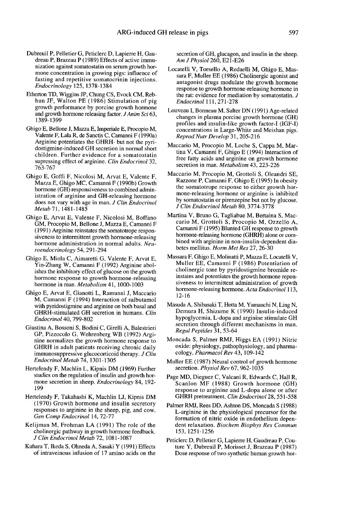- Dubreuil P, Pelletier G, Peticlerc D, Lapierre H, Gaudreau P, Brazeau P (1989) Effects of active immunization against somatostatin on serum growth hormone concentration in growing pigs: influence of fasting and repetitive somatocrinin injections. Endocrinology 125, 1378-1384
- Etherton TD, Wiggins JP, Chung CS, Evock CM, Rebhun JF, Walton PE (1986) Stimulation of pig growth performance by porcine growth hormone and growth hormone releasing factor. JAnim Sci 63, 1389-1399
- Ghigo E, Bellone J, Mazza E, Imperiale E, Procopio M, Valente F, Lala R, de Sanctis C, Camanni F (1990a) Arginine potentiates the GHRH- but not the pyridostigmine-induced GH secretion in normal short children. Further evidence for a somatostatin supressing effect of arginine. Clin Endocrinol 32, 763-767
- Ghigo E, Goffi F, Nicolosi M, Arvat E, Valente F, Mazza E, Ghigo MC, Camanni F (1990b) Growth hormone (GH) responsiveness to combined administration of arginine and GH-releasing hormone does not vary with age in man. J Clin Endocrinol Metab 71, 1481-1485
- Ghigo E, Arvat E, Valente F, Nicolosi M, Boffano GM, Procopio M, Bellone J, Mazza E, Camanni F (1991) Arginine reinstates the somatotrope responsiveness to intermittent growth hormone-releasing hormone administration in normal adults. Neuroendocrinology 54, 291-294
- Ghigo E, Miola C, Aimaretti G, Valente F, Arvat E, Yin-Zhang W, Camanni F (1992) Arginine abolishes the inhibitory effect of glucose on the growth<br>hormone response to growth hormone-releasing hormone in man. Metabolism 41, 1000-1003
- Ghigo E, Arvat E, Gianotti L, Ramunni J, Maccario M, Camanni F (1994) Interaction of salbutamol with pyridostigmine and arginine on both basal and GHRH-stimulated GH secretion in humans. Clin Endocrinol 40, 799-802
- Giustina A, Bossoni S, Bodini C, Girelli A, Balestrieri GP, Pizzocolo G, Wehrenberg WB (1992) Argi nine normalizes the growth hormone response to GHRH in adult patients receiving chronic daily immunosuppressive glucocorticoid therapy. J Clin Endocrinol Metab 74, 1301-1305
- Hertelendy F, Machlin L, Kipnis DM (1969) Further studies on the regulation of insulin and growth hormone secretion in sheep. Endocrinology 84, 192- 199
- Hertelendy F, Takahashi K, Machlin LJ, Kipnis DM (1970) Growth hormone and insulin secretory responses to arginine in the sheep, pig, and cow. Gen Comp Endocrinol 14, 72-77
- Kelijman M, Frohman LA (1991) The role of the cholinergic pathway in growth hormone feedback. J Clin Endocrinol Metab 72, 1081-1087
- Kuhara T, Ikeda S, Ohneda A, Sasaki Y (1991) Effects of intraveinous infusion of 17 amino acids on the

secretion of GH, glucagon, and insulin in the sheep.<br>Am J Physiol 260, E21-E26

- Locatelli V, Torsello A, Redaelli M, Ghigo E, Massara F, Muller EE ( 1986) Cholinergic agonist and antagonist drugs modulate the growth hormone response to growth hormone-releasing hormone in the rat: evidence for mediation by somatostatin. J Endocrinol 111, 271-278
- Louveau I, Bonneau M, Salter DN (1991) Age-related changes in plasma porcine growth hormone (GH) profiles and insulin-like growth factor-I (IGF-1) concentrations in Large-White and Meishan pigs. Reprod Nutr Develop 31, 205-216
- Maccario M, Procopio M, Loche S, Cappa M, Martina V, Camanni F, Ghigo E (1994) Interaction of free fatty acids and arginine on growth hormone secretion in man. Metabolism 43, 223-226
- Maccario M, Procopio M, Grottoli S, Oleandri SE, Razzone P, Camanni F, Ghigo E (1995) In obesity the somatotrope response to either growth hormone-releasing hormone or arginine is inhibited by somatostatin or pirenzepine but not by glucose. J Clin Endocrinol Metab 80, 3774-3778
- Martina V, Bruno G, Tagliabue M, Bertaina S, Maccario M, Grottoli S, Procopio M, Ozzello A, Camanni F (1995) Blunted GH response to growth hormone-releasing hormone (GHRH) alone or combined with arginine in non-insulin-dependent diabetes mellitus. Horm Met Res 27, 26-30
- Massara F, Ghigo E, Molinatti P, Mazza E, Locatelli V, Muller EE, Camanni F (1986) Potentiation of cholinergic tone by pyridostigmine bromide reinstates and potentiates the growth hormone repon siveness to intermittent administration of growth hormone-releasing hormone. Acta Endocrinol 113, 12-16
- Masuda A, Shibasaki T, Hotta M, Yamauchi N, Ling N, Demura H, Shizume K (1990) Insulin-induced hypoglycemia, L-dopa and arginine stimulate GH secretion through different mechanisms in man. Regul Peptides 31, 53-64
- Moncada S, Palmer RMJ, Higgs EA (1991) Nitric oxide: physiology, pathophysiology, and pharmacology. Pharmacol Rev 43, 109-142
- Muller EE (1987) Neural control of growth hormone secretion. Physiol Rev 67, 962-1035
- Page MD, Dieguez C, Valcani R, Edwards C, Hall R, Scanlon MF (1988) Growth hormone (GH) response to arginine and L-dopa alone or after GHRH pretreatment. Clin Endocrinol 28, 551-558
- Palmer RMJ, Rees DD, Ashton DS, Moncada S (1988) L-arginine in the physiological precursor for the dent relaxation. Biochem Biophys Res Commun 153, 1251-1256
- Peticlerc D, Pelletier G, Lapierre H, Gaudreau P, Couture Y, Dubreuil P, Morisset J, Brazeau P (1987) Dose response of two synthetic human growth hor-